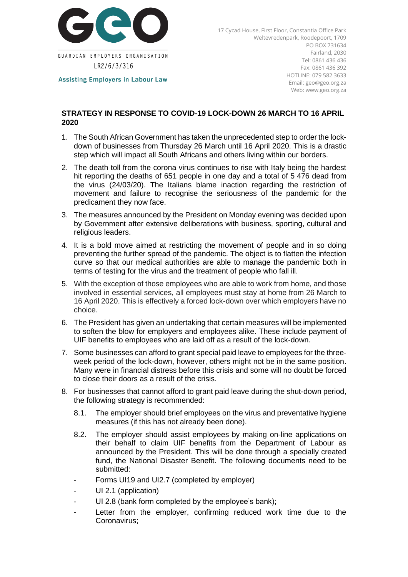

**Assisting Employers in Labour Law** 

**2020**

17 Cycad House, First Floor, Constantia Office Park Weltevredenpark, Roodepoort, 1709 PO BOX 731634 Fairland, 2030 Tel: 0861 436 436 Fax: 0861 436 392 HOTLINE: 079 582 3633 Email: geo@geo.org.za Web: www.geo.org.za

## **STRATEGY IN RESPONSE TO COVID-19 LOCK-DOWN 26 MARCH TO 16 APRIL**

- 1. The South African Government has taken the unprecedented step to order the lockdown of businesses from Thursday 26 March until 16 April 2020. This is a drastic step which will impact all South Africans and others living within our borders.
- 2. The death toll from the corona virus continues to rise with Italy being the hardest hit reporting the deaths of 651 people in one day and a total of 5 476 dead from the virus (24/03/20). The Italians blame inaction regarding the restriction of movement and failure to recognise the seriousness of the pandemic for the predicament they now face.
- 3. The measures announced by the President on Monday evening was decided upon by Government after extensive deliberations with business, sporting, cultural and religious leaders.
- 4. It is a bold move aimed at restricting the movement of people and in so doing preventing the further spread of the pandemic. The object is to flatten the infection curve so that our medical authorities are able to manage the pandemic both in terms of testing for the virus and the treatment of people who fall ill.
- 5. With the exception of those employees who are able to work from home, and those involved in essential services, all employees must stay at home from 26 March to 16 April 2020. This is effectively a forced lock-down over which employers have no choice.
- 6. The President has given an undertaking that certain measures will be implemented to soften the blow for employers and employees alike. These include payment of UIF benefits to employees who are laid off as a result of the lock-down.
- 7. Some businesses can afford to grant special paid leave to employees for the threeweek period of the lock-down, however, others might not be in the same position. Many were in financial distress before this crisis and some will no doubt be forced to close their doors as a result of the crisis.
- 8. For businesses that cannot afford to grant paid leave during the shut-down period, the following strategy is recommended:
	- 8.1. The employer should brief employees on the virus and preventative hygiene measures (if this has not already been done).
	- 8.2. The employer should assist employees by making on-line applications on their behalf to claim UIF benefits from the Department of Labour as announced by the President. This will be done through a specially created fund, the National Disaster Benefit. The following documents need to be submitted:
	- Forms UI19 and UI2.7 (completed by employer)
	- UI 2.1 (application)
	- UI 2.8 (bank form completed by the employee's bank);
	- Letter from the employer, confirming reduced work time due to the Coronavirus;